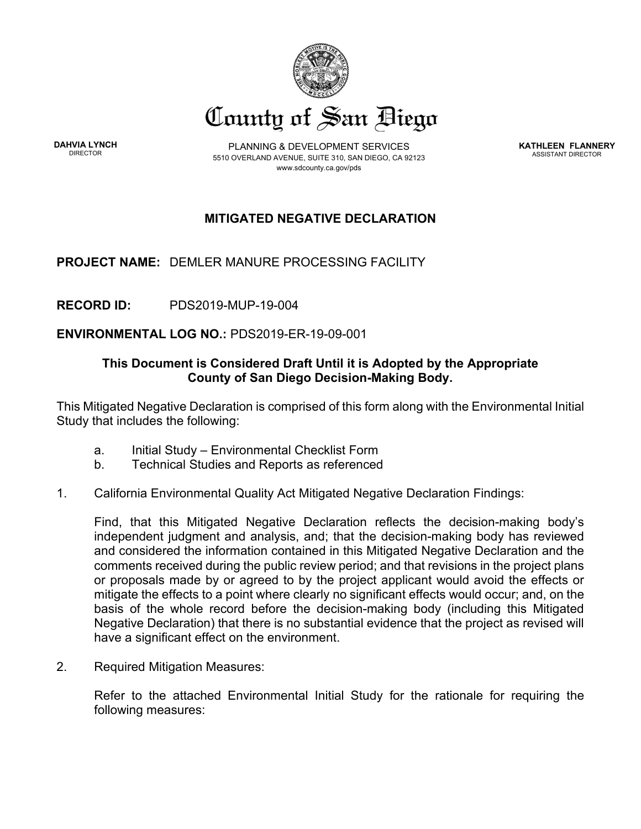

**DAHVIA LYNCH**

PLANNING & DEVELOPMENT SERVICES 5510 OVERLAND AVENUE, SUITE 310, SAN DIEGO, CA 92123 www.sdcounty.ca.gov/pds

**KATHLEEN FLANNERY** ASSISTANT DIRECTOR

# **MITIGATED NEGATIVE DECLARATION**

**PROJECT NAME:** DEMLER MANURE PROCESSING FACILITY

**RECORD ID:** PDS2019-MUP-19-004

**ENVIRONMENTAL LOG NO.:** PDS2019-ER-19-09-001

# **This Document is Considered Draft Until it is Adopted by the Appropriate County of San Diego Decision-Making Body.**

This Mitigated Negative Declaration is comprised of this form along with the Environmental Initial Study that includes the following:

- a. Initial Study Environmental Checklist Form
- b. Technical Studies and Reports as referenced
- 1. California Environmental Quality Act Mitigated Negative Declaration Findings:

Find, that this Mitigated Negative Declaration reflects the decision-making body's independent judgment and analysis, and; that the decision-making body has reviewed and considered the information contained in this Mitigated Negative Declaration and the comments received during the public review period; and that revisions in the project plans or proposals made by or agreed to by the project applicant would avoid the effects or mitigate the effects to a point where clearly no significant effects would occur; and, on the basis of the whole record before the decision-making body (including this Mitigated Negative Declaration) that there is no substantial evidence that the project as revised will have a significant effect on the environment.

2. Required Mitigation Measures:

Refer to the attached Environmental Initial Study for the rationale for requiring the following measures: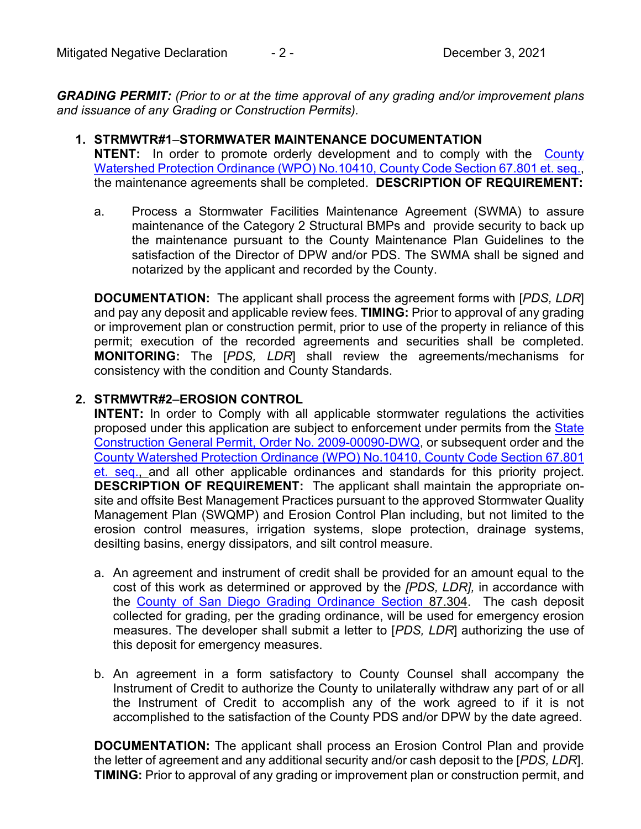*GRADING PERMIT: (Prior to or at the time approval of any grading and/or improvement plans and issuance of any Grading or Construction Permits).*

- **1. STRMWTR#1**–**STORMWATER MAINTENANCE DOCUMENTATION NTENT:** In order to promote orderly development and to comply with the [County](http://www.sandiegocounty.gov/content/dam/sdc/cob/ordinances/ord10410.pdf)  [Watershed Protection Ordinance \(WPO\) No.10410, County Code Section 67.801 et. seq.,](http://www.sandiegocounty.gov/content/dam/sdc/cob/ordinances/ord10410.pdf) the maintenance agreements shall be completed. **DESCRIPTION OF REQUIREMENT:** 
	- a. Process a Stormwater Facilities Maintenance Agreement (SWMA) to assure maintenance of the Category 2 Structural BMPs and provide security to back up the maintenance pursuant to the County Maintenance Plan Guidelines to the satisfaction of the Director of DPW and/or PDS. The SWMA shall be signed and notarized by the applicant and recorded by the County.

**DOCUMENTATION:** The applicant shall process the agreement forms with [*PDS, LDR*] and pay any deposit and applicable review fees. **TIMING:** Prior to approval of any grading or improvement plan or construction permit, prior to use of the property in reliance of this permit; execution of the recorded agreements and securities shall be completed. **MONITORING:** The [*PDS, LDR*] shall review the agreements/mechanisms for consistency with the condition and County Standards.

## **2. STRMWTR#2**–**EROSION CONTROL**

**INTENT:** In order to Comply with all applicable stormwater regulations the activities proposed under this application are subject to enforcement under permits from the State [Construction General Permit, Order No. 2009-00090-DWQ,](http://www.swrcb.ca.gov/water_issues/programs/stormwater/constpermits.shtml) or subsequent order and the [County Watershed Protection Ordinance \(WPO\) No.10410, County Code Section 67.801](http://www.sandiegocounty.gov/content/dam/sdc/cob/ordinances/ord10410.pdf)  [et. seq.,](http://www.sandiegocounty.gov/content/dam/sdc/cob/ordinances/ord10410.pdf) and all other applicable ordinances and standards for this priority project. **DESCRIPTION OF REQUIREMENT:** The applicant shall maintain the appropriate onsite and offsite Best Management Practices pursuant to the approved Stormwater Quality Management Plan (SWQMP) and Erosion Control Plan including, but not limited to the erosion control measures, irrigation systems, slope protection, drainage systems, desilting basins, energy dissipators, and silt control measure.

- a. An agreement and instrument of credit shall be provided for an amount equal to the cost of this work as determined or approved by the *[PDS, LDR],* in accordance with the [County of San Diego Grading Ordinance Section](http://www.sdcounty.ca.gov/dpw/docs/propgradord.pdf) 87.304. The cash deposit collected for grading, per the grading ordinance, will be used for emergency erosion measures. The developer shall submit a letter to [*PDS, LDR*] authorizing the use of this deposit for emergency measures.
- b. An agreement in a form satisfactory to County Counsel shall accompany the Instrument of Credit to authorize the County to unilaterally withdraw any part of or all the Instrument of Credit to accomplish any of the work agreed to if it is not accomplished to the satisfaction of the County PDS and/or DPW by the date agreed.

**DOCUMENTATION:** The applicant shall process an Erosion Control Plan and provide the letter of agreement and any additional security and/or cash deposit to the [*PDS, LDR*]. **TIMING:** Prior to approval of any grading or improvement plan or construction permit, and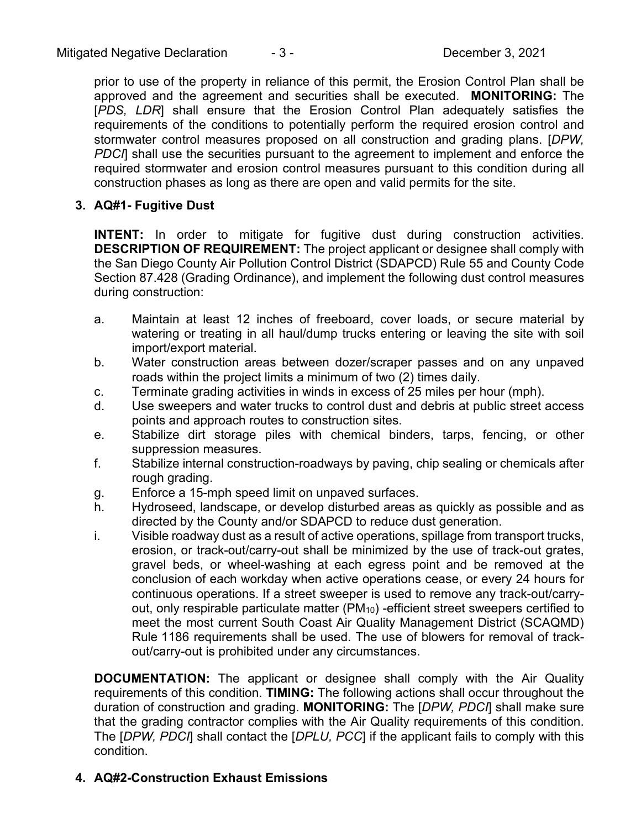prior to use of the property in reliance of this permit, the Erosion Control Plan shall be approved and the agreement and securities shall be executed. **MONITORING:** The [*PDS, LDR*] shall ensure that the Erosion Control Plan adequately satisfies the requirements of the conditions to potentially perform the required erosion control and stormwater control measures proposed on all construction and grading plans. [*DPW,*  **PDCI** shall use the securities pursuant to the agreement to implement and enforce the required stormwater and erosion control measures pursuant to this condition during all construction phases as long as there are open and valid permits for the site.

**3. AQ#1- Fugitive Dust**

**INTENT:** In order to mitigate for fugitive dust during construction activities. **DESCRIPTION OF REQUIREMENT:** The project applicant or designee shall comply with the San Diego County Air Pollution Control District (SDAPCD) Rule 55 and County Code Section 87.428 (Grading Ordinance), and implement the following dust control measures during construction:

- a. Maintain at least 12 inches of freeboard, cover loads, or secure material by watering or treating in all haul/dump trucks entering or leaving the site with soil import/export material.
- b. Water construction areas between dozer/scraper passes and on any unpaved roads within the project limits a minimum of two (2) times daily.
- c. Terminate grading activities in winds in excess of 25 miles per hour (mph).
- d. Use sweepers and water trucks to control dust and debris at public street access points and approach routes to construction sites.
- e. Stabilize dirt storage piles with chemical binders, tarps, fencing, or other suppression measures.
- f. Stabilize internal construction-roadways by paving, chip sealing or chemicals after rough grading.
- g. Enforce a 15-mph speed limit on unpaved surfaces.
- h. Hydroseed, landscape, or develop disturbed areas as quickly as possible and as directed by the County and/or SDAPCD to reduce dust generation.
- i. Visible roadway dust as a result of active operations, spillage from transport trucks, erosion, or track-out/carry-out shall be minimized by the use of track-out grates, gravel beds, or wheel-washing at each egress point and be removed at the conclusion of each workday when active operations cease, or every 24 hours for continuous operations. If a street sweeper is used to remove any track-out/carryout, only respirable particulate matter (PM<sub>10</sub>) -efficient street sweepers certified to meet the most current South Coast Air Quality Management District (SCAQMD) Rule 1186 requirements shall be used. The use of blowers for removal of trackout/carry-out is prohibited under any circumstances.

**DOCUMENTATION:** The applicant or designee shall comply with the Air Quality requirements of this condition. **TIMING:** The following actions shall occur throughout the duration of construction and grading. **MONITORING:** The [*DPW, PDCI*] shall make sure that the grading contractor complies with the Air Quality requirements of this condition. The [*DPW, PDCI*] shall contact the [*DPLU, PCC*] if the applicant fails to comply with this condition.

# **4. AQ#2-Construction Exhaust Emissions**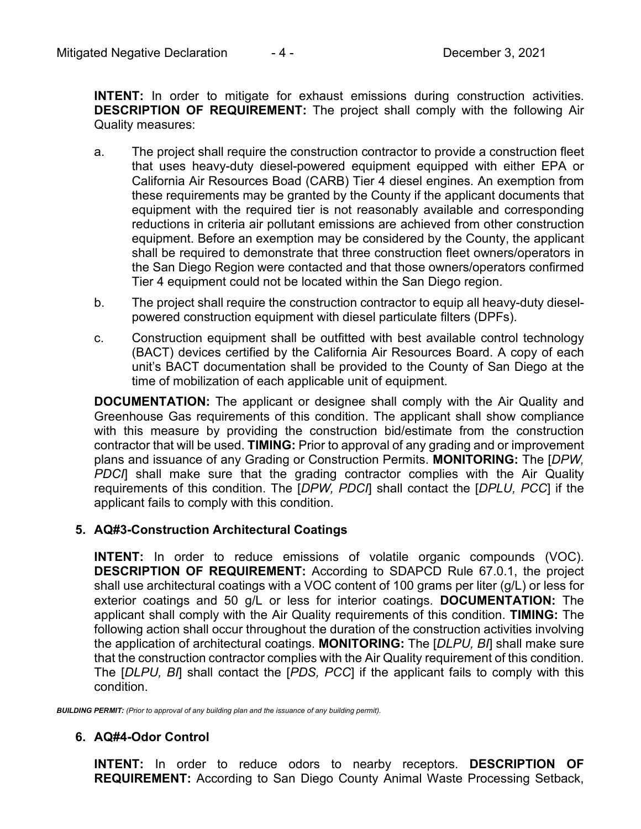**INTENT:** In order to mitigate for exhaust emissions during construction activities. **DESCRIPTION OF REQUIREMENT:** The project shall comply with the following Air Quality measures:

- a. The project shall require the construction contractor to provide a construction fleet that uses heavy-duty diesel-powered equipment equipped with either EPA or California Air Resources Boad (CARB) Tier 4 diesel engines. An exemption from these requirements may be granted by the County if the applicant documents that equipment with the required tier is not reasonably available and corresponding reductions in criteria air pollutant emissions are achieved from other construction equipment. Before an exemption may be considered by the County, the applicant shall be required to demonstrate that three construction fleet owners/operators in the San Diego Region were contacted and that those owners/operators confirmed Tier 4 equipment could not be located within the San Diego region.
- b. The project shall require the construction contractor to equip all heavy-duty dieselpowered construction equipment with diesel particulate filters (DPFs).
- c. Construction equipment shall be outfitted with best available control technology (BACT) devices certified by the California Air Resources Board. A copy of each unit's BACT documentation shall be provided to the County of San Diego at the time of mobilization of each applicable unit of equipment.

**DOCUMENTATION:** The applicant or designee shall comply with the Air Quality and Greenhouse Gas requirements of this condition. The applicant shall show compliance with this measure by providing the construction bid/estimate from the construction contractor that will be used. **TIMING:** Prior to approval of any grading and or improvement plans and issuance of any Grading or Construction Permits. **MONITORING:** The [*DPW, PDCI*] shall make sure that the grading contractor complies with the Air Quality requirements of this condition. The [*DPW, PDCI*] shall contact the [*DPLU, PCC*] if the applicant fails to comply with this condition.

# **5. AQ#3-Construction Architectural Coatings**

**INTENT:** In order to reduce emissions of volatile organic compounds (VOC). **DESCRIPTION OF REQUIREMENT:** According to SDAPCD Rule 67.0.1, the project shall use architectural coatings with a VOC content of 100 grams per liter (g/L) or less for exterior coatings and 50 g/L or less for interior coatings. **DOCUMENTATION:** The applicant shall comply with the Air Quality requirements of this condition. **TIMING:** The following action shall occur throughout the duration of the construction activities involving the application of architectural coatings. **MONITORING:** The [*DLPU, BI*] shall make sure that the construction contractor complies with the Air Quality requirement of this condition. The [*DLPU, BI*] shall contact the [*PDS, PCC*] if the applicant fails to comply with this condition.

*BUILDING PERMIT: (Prior to approval of any building plan and the issuance of any building permit).*

#### **6. AQ#4-Odor Control**

**INTENT:** In order to reduce odors to nearby receptors. **DESCRIPTION OF REQUIREMENT:** According to San Diego County Animal Waste Processing Setback,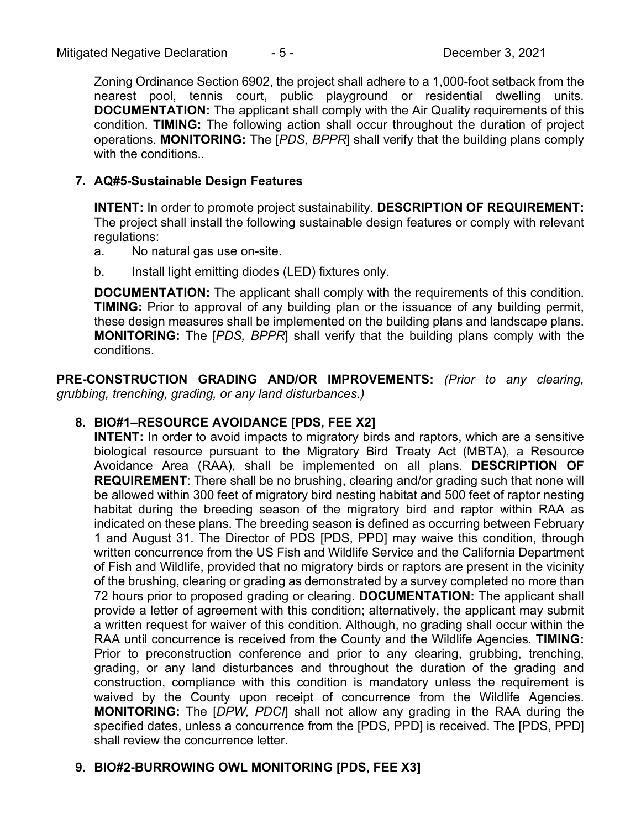Zoning Ordinance Section 6902, the project shall adhere to a 1,000-foot setback from the nearest pool, tennis court, public playground or residential dwelling units. **DOCUMENTATION:** The applicant shall comply with the Air Quality requirements of this condition. **TIMING:** The following action shall occur throughout the duration of project operations. **MONITORING:** The [*PDS, BPPR*] shall verify that the building plans comply with the conditions..

# **7. AQ#5-Sustainable Design Features**

**INTENT:** In order to promote project sustainability. **DESCRIPTION OF REQUIREMENT:**  The project shall install the following sustainable design features or comply with relevant regulations:

- a. No natural gas use on-site.
- b. Install light emitting diodes (LED) fixtures only.

**DOCUMENTATION:** The applicant shall comply with the requirements of this condition. **TIMING:** Prior to approval of any building plan or the issuance of any building permit, these design measures shall be implemented on the building plans and landscape plans. **MONITORING:** The [*PDS, BPPR*] shall verify that the building plans comply with the conditions.

**PRE-CONSTRUCTION GRADING AND/OR IMPROVEMENTS:** *(Prior to any clearing, grubbing, trenching, grading, or any land disturbances.)*

# **8. BIO#1–RESOURCE AVOIDANCE [PDS, FEE X2]**

**INTENT:** In order to avoid impacts to migratory birds and raptors, which are a sensitive biological resource pursuant to the Migratory Bird Treaty Act (MBTA), a Resource Avoidance Area (RAA), shall be implemented on all plans. **DESCRIPTION OF REQUIREMENT**: There shall be no brushing, clearing and/or grading such that none will be allowed within 300 feet of migratory bird nesting habitat and 500 feet of raptor nesting habitat during the breeding season of the migratory bird and raptor within RAA as indicated on these plans. The breeding season is defined as occurring between February 1 and August 31. The Director of PDS [PDS, PPD] may waive this condition, through written concurrence from the US Fish and Wildlife Service and the California Department of Fish and Wildlife, provided that no migratory birds or raptors are present in the vicinity of the brushing, clearing or grading as demonstrated by a survey completed no more than 72 hours prior to proposed grading or clearing. **DOCUMENTATION:** The applicant shall provide a letter of agreement with this condition; alternatively, the applicant may submit a written request for waiver of this condition. Although, no grading shall occur within the RAA until concurrence is received from the County and the Wildlife Agencies. **TIMING:**  Prior to preconstruction conference and prior to any clearing, grubbing, trenching, grading, or any land disturbances and throughout the duration of the grading and construction, compliance with this condition is mandatory unless the requirement is waived by the County upon receipt of concurrence from the Wildlife Agencies. **MONITORING:** The [*DPW, PDCI*] shall not allow any grading in the RAA during the specified dates, unless a concurrence from the [PDS, PPD] is received. The [PDS, PPD] shall review the concurrence letter.

# **9. BIO#2-BURROWING OWL MONITORING [PDS, FEE X3]**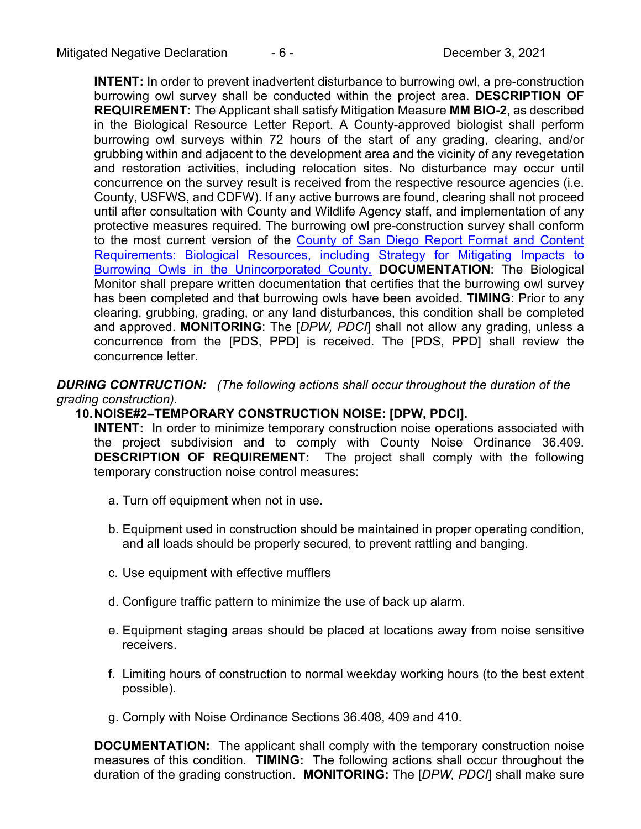**INTENT:** In order to prevent inadvertent disturbance to burrowing owl, a pre-construction burrowing owl survey shall be conducted within the project area. **DESCRIPTION OF REQUIREMENT:** The Applicant shall satisfy Mitigation Measure **MM BIO-2**, as described in the Biological Resource Letter Report. A County-approved biologist shall perform burrowing owl surveys within 72 hours of the start of any grading, clearing, and/or grubbing within and adjacent to the development area and the vicinity of any revegetation and restoration activities, including relocation sites. No disturbance may occur until concurrence on the survey result is received from the respective resource agencies (i.e. County, USFWS, and CDFW). If any active burrows are found, clearing shall not proceed until after consultation with County and Wildlife Agency staff, and implementation of any protective measures required. The burrowing owl pre-construction survey shall conform to the most current version of the [County of San Diego Report Format and Content](http://www.sandiegocounty.gov/content/dam/sdc/pds/ProjectPlanning/docs/Biological_Report_Format.pdf)  [Requirements: Biological Resources, including Strategy for Mitigating Impacts to](http://www.sandiegocounty.gov/content/dam/sdc/pds/ProjectPlanning/docs/Biological_Report_Format.pdf)  [Burrowing Owls in the Unincorporated County.](http://www.sandiegocounty.gov/content/dam/sdc/pds/ProjectPlanning/docs/Biological_Report_Format.pdf) **DOCUMENTATION**: The Biological Monitor shall prepare written documentation that certifies that the burrowing owl survey has been completed and that burrowing owls have been avoided. **TIMING**: Prior to any clearing, grubbing, grading, or any land disturbances, this condition shall be completed and approved. **MONITORING**: The [*DPW, PDCI*] shall not allow any grading, unless a concurrence from the [PDS, PPD] is received. The [PDS, PPD] shall review the concurrence letter.

*DURING CONTRUCTION: (The following actions shall occur throughout the duration of the grading construction).*

#### **10.NOISE#2–TEMPORARY CONSTRUCTION NOISE: [DPW, PDCI].**

**INTENT:** In order to minimize temporary construction noise operations associated with the project subdivision and to comply with County Noise Ordinance 36.409. **DESCRIPTION OF REQUIREMENT:** The project shall comply with the following temporary construction noise control measures:

- a. Turn off equipment when not in use.
- b. Equipment used in construction should be maintained in proper operating condition, and all loads should be properly secured, to prevent rattling and banging.
- c. Use equipment with effective mufflers
- d. Configure traffic pattern to minimize the use of back up alarm.
- e. Equipment staging areas should be placed at locations away from noise sensitive receivers.
- f. Limiting hours of construction to normal weekday working hours (to the best extent possible).
- g. Comply with Noise Ordinance Sections 36.408, 409 and 410.

**DOCUMENTATION:** The applicant shall comply with the temporary construction noise measures of this condition. **TIMING:** The following actions shall occur throughout the duration of the grading construction. **MONITORING:** The [*DPW, PDCI*] shall make sure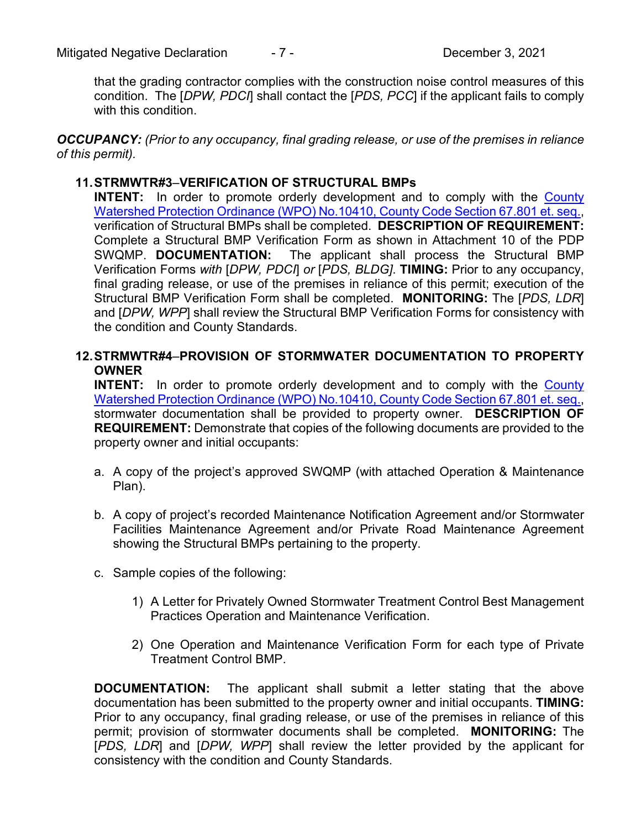that the grading contractor complies with the construction noise control measures of this condition. The [*DPW, PDCI*] shall contact the [*PDS, PCC*] if the applicant fails to comply with this condition.

*OCCUPANCY: (Prior to any occupancy, final grading release, or use of the premises in reliance of this permit).*

#### **11.STRMWTR#3**–**VERIFICATION OF STRUCTURAL BMPs**

**INTENT:** In order to promote orderly development and to comply with the County [Watershed Protection Ordinance \(WPO\) No.10410, County Code Section 67.801 et. seq.,](http://www.sandiegocounty.gov/content/dam/sdc/cob/ordinances/ord10410.pdf) verification of Structural BMPs shall be completed. **DESCRIPTION OF REQUIREMENT:**  Complete a Structural BMP Verification Form as shown in Attachment 10 of the PDP SWQMP. **DOCUMENTATION:** The applicant shall process the Structural BMP Verification Forms *with* [*DPW, PDCI*] *or* [*PDS, BLDG]*. **TIMING:** Prior to any occupancy, final grading release, or use of the premises in reliance of this permit; execution of the Structural BMP Verification Form shall be completed. **MONITORING:** The [*PDS, LDR*] and [*DPW, WPP*] shall review the Structural BMP Verification Forms for consistency with the condition and County Standards.

#### **12.STRMWTR#4**–**PROVISION OF STORMWATER DOCUMENTATION TO PROPERTY OWNER**

**INTENT:** In order to promote orderly development and to comply with the County [Watershed Protection Ordinance \(WPO\) No.10410, County Code Section 67.801 et. seq.,](http://www.sandiegocounty.gov/content/dam/sdc/cob/ordinances/ord10410.pdf) stormwater documentation shall be provided to property owner. **DESCRIPTION OF REQUIREMENT:** Demonstrate that copies of the following documents are provided to the property owner and initial occupants:

- a. A copy of the project's approved SWQMP (with attached Operation & Maintenance Plan).
- b. A copy of project's recorded Maintenance Notification Agreement and/or Stormwater Facilities Maintenance Agreement and/or Private Road Maintenance Agreement showing the Structural BMPs pertaining to the property.
- c. Sample copies of the following:
	- 1) A Letter for Privately Owned Stormwater Treatment Control Best Management Practices Operation and Maintenance Verification.
	- 2) One Operation and Maintenance Verification Form for each type of Private Treatment Control BMP.

**DOCUMENTATION:** The applicant shall submit a letter stating that the above documentation has been submitted to the property owner and initial occupants. **TIMING:**  Prior to any occupancy, final grading release, or use of the premises in reliance of this permit; provision of stormwater documents shall be completed. **MONITORING:** The [*PDS, LDR*] and [*DPW, WPP*] shall review the letter provided by the applicant for consistency with the condition and County Standards.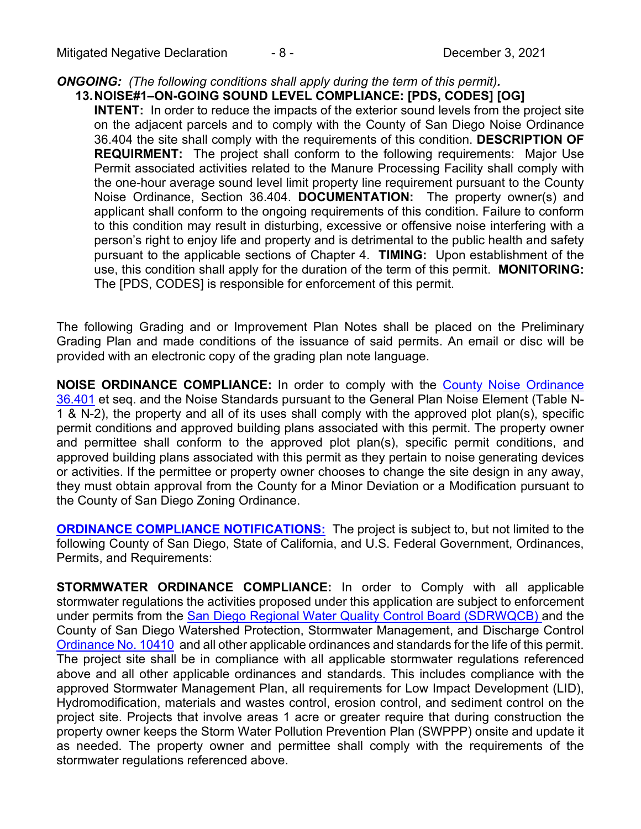## *ONGOING: (The following conditions shall apply during the term of this permit).*

# **13.NOISE#1–ON-GOING SOUND LEVEL COMPLIANCE: [PDS, CODES] [OG]**

**INTENT:** In order to reduce the impacts of the exterior sound levels from the project site on the adjacent parcels and to comply with the County of San Diego Noise Ordinance 36.404 the site shall comply with the requirements of this condition. **DESCRIPTION OF REQUIRMENT:** The project shall conform to the following requirements: Major Use Permit associated activities related to the Manure Processing Facility shall comply with the one-hour average sound level limit property line requirement pursuant to the County Noise Ordinance, Section 36.404. **DOCUMENTATION:** The property owner(s) and applicant shall conform to the ongoing requirements of this condition. Failure to conform to this condition may result in disturbing, excessive or offensive noise interfering with a person's right to enjoy life and property and is detrimental to the public health and safety pursuant to the applicable sections of Chapter 4. **TIMING:** Upon establishment of the use, this condition shall apply for the duration of the term of this permit. **MONITORING:**  The [PDS, CODES] is responsible for enforcement of this permit.

The following Grading and or Improvement Plan Notes shall be placed on the Preliminary Grading Plan and made conditions of the issuance of said permits. An email or disc will be provided with an electronic copy of the grading plan note language.

**NOISE ORDINANCE COMPLIANCE:** In order to comply with the [County Noise Ordinance](http://www.amlegal.com/sandiego_county_ca/)  [36.401](http://www.amlegal.com/sandiego_county_ca/) et seq. and the Noise Standards pursuant to the General Plan Noise Element (Table N-1 & N-2), the property and all of its uses shall comply with the approved plot plan(s), specific permit conditions and approved building plans associated with this permit. The property owner and permittee shall conform to the approved plot plan(s), specific permit conditions, and approved building plans associated with this permit as they pertain to noise generating devices or activities. If the permittee or property owner chooses to change the site design in any away, they must obtain approval from the County for a Minor Deviation or a Modification pursuant to the County of San Diego Zoning Ordinance.

**ORDINANCE COMPLIANCE NOTIFICATIONS:** The project is subject to, but not limited to the following County of San Diego, State of California, and U.S. Federal Government, Ordinances, Permits, and Requirements:

**STORMWATER ORDINANCE COMPLIANCE:** In order to Comply with all applicable stormwater regulations the activities proposed under this application are subject to enforcement under permits from the [San Diego Regional Water Quality Control Board \(SDRWQCB\) a](http://www.projectcleanwater.org/pdf/permit_r9-2007-0001.pdf)nd the County of San Diego Watershed Protection, Stormwater Management, and Discharge Control [Ordinance No. 10410](http://www.co.san-diego.ca.us/dpw/watersheds/watershedpdf/watershed_ordinance_signed_dec2010.pdf) and all other applicable ordinances and standards for the life of this permit. The project site shall be in compliance with all applicable stormwater regulations referenced above and all other applicable ordinances and standards. This includes compliance with the approved Stormwater Management Plan, all requirements for Low Impact Development (LID), Hydromodification, materials and wastes control, erosion control, and sediment control on the project site. Projects that involve areas 1 acre or greater require that during construction the property owner keeps the Storm Water Pollution Prevention Plan (SWPPP) onsite and update it as needed. The property owner and permittee shall comply with the requirements of the stormwater regulations referenced above.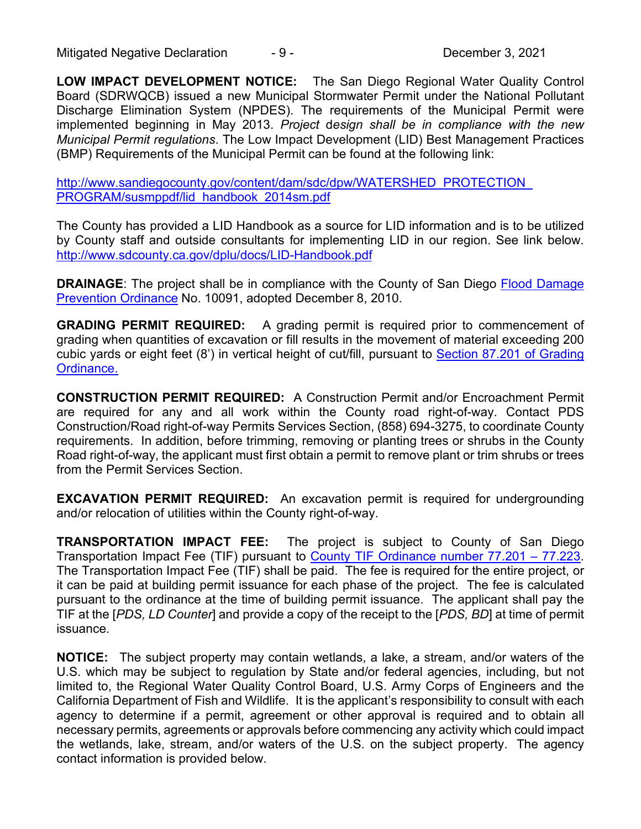Mitigated Negative Declaration  $-9 -$ 

**LOW IMPACT DEVELOPMENT NOTICE:** The San Diego Regional Water Quality Control Board (SDRWQCB) issued a new Municipal Stormwater Permit under the National Pollutant Discharge Elimination System (NPDES). The requirements of the Municipal Permit were implemented beginning in May 2013. *Project* d*esign shall be in compliance with the new Municipal Permit regulations*. The Low Impact Development (LID) Best Management Practices (BMP) Requirements of the Municipal Permit can be found at the following link:

[http://www.sandiegocounty.gov/content/dam/sdc/dpw/WATERSHED\\_PROTECTION\\_](http://www.sandiegocounty.gov/content/dam/sdc/dpw/WATERSHED_PROTECTION_) PROGRAM/susmppdf/lid\_handbook\_2014sm.pdf

The County has provided a LID Handbook as a source for LID information and is to be utilized by County staff and outside consultants for implementing LID in our region. See link below. <http://www.sdcounty.ca.gov/dplu/docs/LID-Handbook.pdf>

**DRAINAGE:** The project shall be in compliance with the County of San Diego Flood Damage Prevention Ordinance No. 10091, adopted December 8, 2010.

**GRADING PERMIT REQUIRED:** A grading permit is required prior to commencement of grading when quantities of excavation or fill results in the movement of material exceeding 200 cubic yards or eight feet (8') in vertical height of cut/fill, pursuant to [Section 87.201 of Grading](http://www.sdcounty.ca.gov/dpw/docs/propgradord.pdf)  [Ordinance.](http://www.sdcounty.ca.gov/dpw/docs/propgradord.pdf)

**CONSTRUCTION PERMIT REQUIRED:** A Construction Permit and/or Encroachment Permit are required for any and all work within the County road right-of-way. Contact PDS Construction/Road right-of-way Permits Services Section, (858) 694-3275, to coordinate County requirements. In addition, before trimming, removing or planting trees or shrubs in the County Road right-of-way, the applicant must first obtain a permit to remove plant or trim shrubs or trees from the Permit Services Section.

**EXCAVATION PERMIT REQUIRED:** An excavation permit is required for undergrounding and/or relocation of utilities within the County right-of-way.

**TRANSPORTATION IMPACT FEE:** The project is subject to County of San Diego Transportation Impact Fee (TIF) pursuant to County TIF Ordinance number 77.201 – 77.223. The Transportation Impact Fee (TIF) shall be paid. The fee is required for the entire project, or it can be paid at building permit issuance for each phase of the project. The fee is calculated pursuant to the ordinance at the time of building permit issuance. The applicant shall pay the TIF at the [*PDS, LD Counter*] and provide a copy of the receipt to the [*PDS, BD*] at time of permit issuance.

**NOTICE:** The subject property may contain wetlands, a lake, a stream, and/or waters of the U.S. which may be subject to regulation by State and/or federal agencies, including, but not limited to, the Regional Water Quality Control Board, U.S. Army Corps of Engineers and the California Department of Fish and Wildlife. It is the applicant's responsibility to consult with each agency to determine if a permit, agreement or other approval is required and to obtain all necessary permits, agreements or approvals before commencing any activity which could impact the wetlands, lake, stream, and/or waters of the U.S. on the subject property. The agency contact information is provided below.